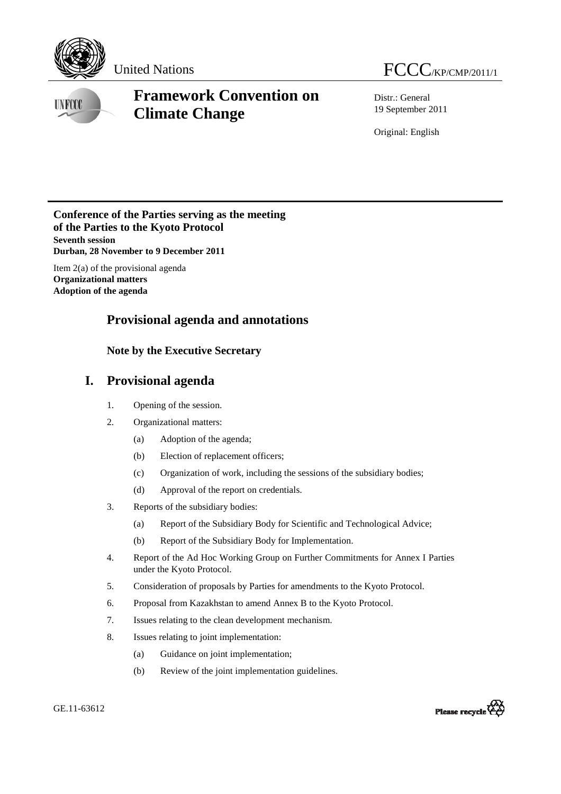

# United Nations FCCC/KP/CMP/2011/1

**UNFCCC** 

# **Framework Convention on Climate Change**

Distr.: General 19 September 2011

Original: English

### **Conference of the Parties serving as the meeting of the Parties to the Kyoto Protocol Seventh session Durban, 28 November to 9 December 2011**

Item 2(a) of the provisional agenda **Organizational matters Adoption of the agenda** 

## **Provisional agenda and annotations**

## **Note by the Executive Secretary**

## **I. Provisional agenda**

- 1. Opening of the session.
- 2. Organizational matters:
	- (a) Adoption of the agenda;
	- (b) Election of replacement officers;
	- (c) Organization of work, including the sessions of the subsidiary bodies;
	- (d) Approval of the report on credentials.
- 3. Reports of the subsidiary bodies:
	- (a) Report of the Subsidiary Body for Scientific and Technological Advice;
	- (b) Report of the Subsidiary Body for Implementation.
- 4. Report of the Ad Hoc Working Group on Further Commitments for Annex I Parties under the Kyoto Protocol.
- 5. Consideration of proposals by Parties for amendments to the Kyoto Protocol.
- 6. Proposal from Kazakhstan to amend Annex B to the Kyoto Protocol.
- 7. Issues relating to the clean development mechanism.
- 8. Issues relating to joint implementation:
	- (a) Guidance on joint implementation;
	- (b) Review of the joint implementation guidelines.

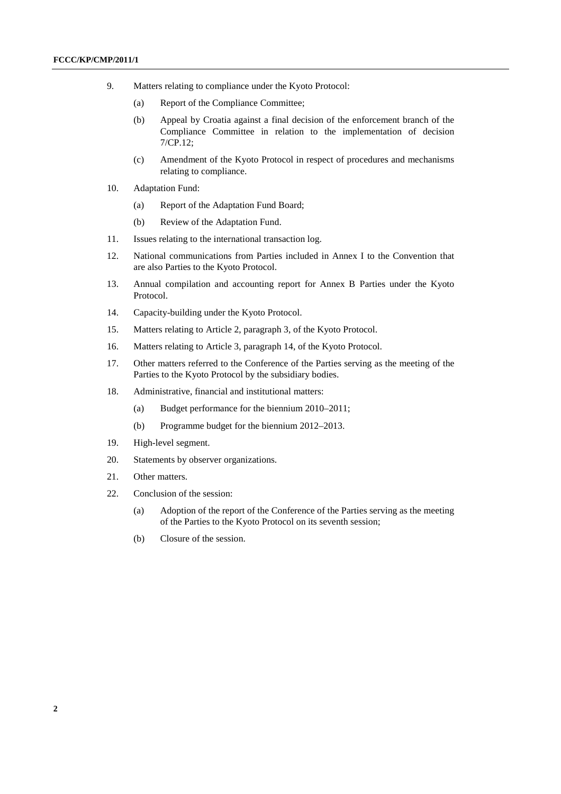- 9. Matters relating to compliance under the Kyoto Protocol:
	- (a) Report of the Compliance Committee;
	- (b) Appeal by Croatia against a final decision of the enforcement branch of the Compliance Committee in relation to the implementation of decision 7/CP.12;
	- (c) Amendment of the Kyoto Protocol in respect of procedures and mechanisms relating to compliance.
- 10. Adaptation Fund:
	- (a) Report of the Adaptation Fund Board;
	- (b) Review of the Adaptation Fund.
- 11. Issues relating to the international transaction log.
- 12. National communications from Parties included in Annex I to the Convention that are also Parties to the Kyoto Protocol.
- 13. Annual compilation and accounting report for Annex B Parties under the Kyoto Protocol.
- 14. Capacity-building under the Kyoto Protocol.
- 15. Matters relating to Article 2, paragraph 3, of the Kyoto Protocol.
- 16. Matters relating to Article 3, paragraph 14, of the Kyoto Protocol.
- 17. Other matters referred to the Conference of the Parties serving as the meeting of the Parties to the Kyoto Protocol by the subsidiary bodies.
- 18. Administrative, financial and institutional matters:
	- (a) Budget performance for the biennium 2010–2011;
	- (b) Programme budget for the biennium 2012–2013.
- 19. High-level segment.
- 20. Statements by observer organizations.
- 21. Other matters.
- 22. Conclusion of the session:
	- (a) Adoption of the report of the Conference of the Parties serving as the meeting of the Parties to the Kyoto Protocol on its seventh session;
	- (b) Closure of the session.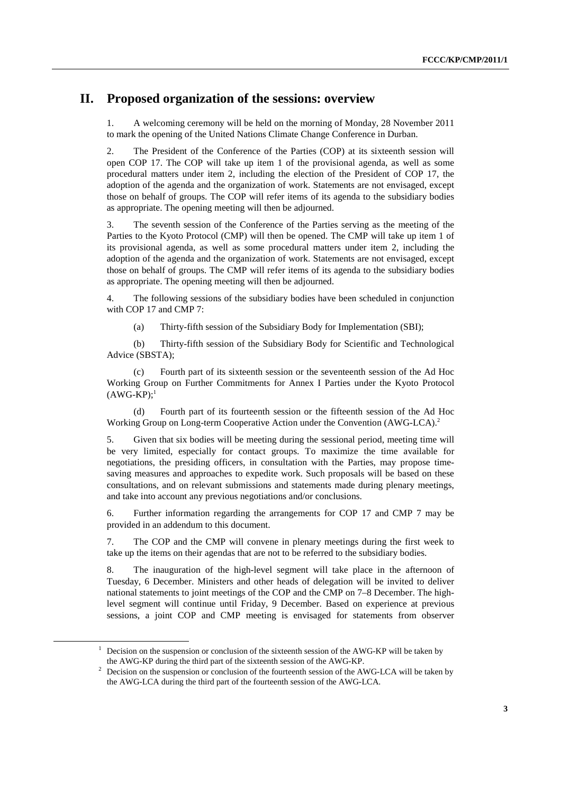## **II. Proposed organization of the sessions: overview**

1. A welcoming ceremony will be held on the morning of Monday, 28 November 2011 to mark the opening of the United Nations Climate Change Conference in Durban.

2. The President of the Conference of the Parties (COP) at its sixteenth session will open COP 17. The COP will take up item 1 of the provisional agenda, as well as some procedural matters under item 2, including the election of the President of COP 17, the adoption of the agenda and the organization of work. Statements are not envisaged, except those on behalf of groups. The COP will refer items of its agenda to the subsidiary bodies as appropriate. The opening meeting will then be adjourned.

3. The seventh session of the Conference of the Parties serving as the meeting of the Parties to the Kyoto Protocol (CMP) will then be opened. The CMP will take up item 1 of its provisional agenda, as well as some procedural matters under item 2, including the adoption of the agenda and the organization of work. Statements are not envisaged, except those on behalf of groups. The CMP will refer items of its agenda to the subsidiary bodies as appropriate. The opening meeting will then be adjourned.

4. The following sessions of the subsidiary bodies have been scheduled in conjunction with COP 17 and CMP 7:

(a) Thirty-fifth session of the Subsidiary Body for Implementation (SBI);

 (b) Thirty-fifth session of the Subsidiary Body for Scientific and Technological Advice (SBSTA);

 (c) Fourth part of its sixteenth session or the seventeenth session of the Ad Hoc Working Group on Further Commitments for Annex I Parties under the Kyoto Protocol  $(AWG-KP):<sup>1</sup>$ 

 (d) Fourth part of its fourteenth session or the fifteenth session of the Ad Hoc Working Group on Long-term Cooperative Action under the Convention (AWG-LCA).<sup>2</sup>

5. Given that six bodies will be meeting during the sessional period, meeting time will be very limited, especially for contact groups. To maximize the time available for negotiations, the presiding officers, in consultation with the Parties, may propose timesaving measures and approaches to expedite work. Such proposals will be based on these consultations, and on relevant submissions and statements made during plenary meetings, and take into account any previous negotiations and/or conclusions.

6. Further information regarding the arrangements for COP 17 and CMP 7 may be provided in an addendum to this document.

7. The COP and the CMP will convene in plenary meetings during the first week to take up the items on their agendas that are not to be referred to the subsidiary bodies.

8. The inauguration of the high-level segment will take place in the afternoon of Tuesday, 6 December. Ministers and other heads of delegation will be invited to deliver national statements to joint meetings of the COP and the CMP on 7–8 December. The highlevel segment will continue until Friday, 9 December. Based on experience at previous sessions, a joint COP and CMP meeting is envisaged for statements from observer

<sup>&</sup>lt;u>1</u> Decision on the suspension or conclusion of the sixteenth session of the AWG-KP will be taken by the AWG-KP during the third part of the sixteenth session of the AWG-KP. 2

<sup>&</sup>lt;sup>2</sup> Decision on the suspension or conclusion of the fourteenth session of the AWG-LCA will be taken by the AWG-LCA during the third part of the fourteenth session of the AWG-LCA.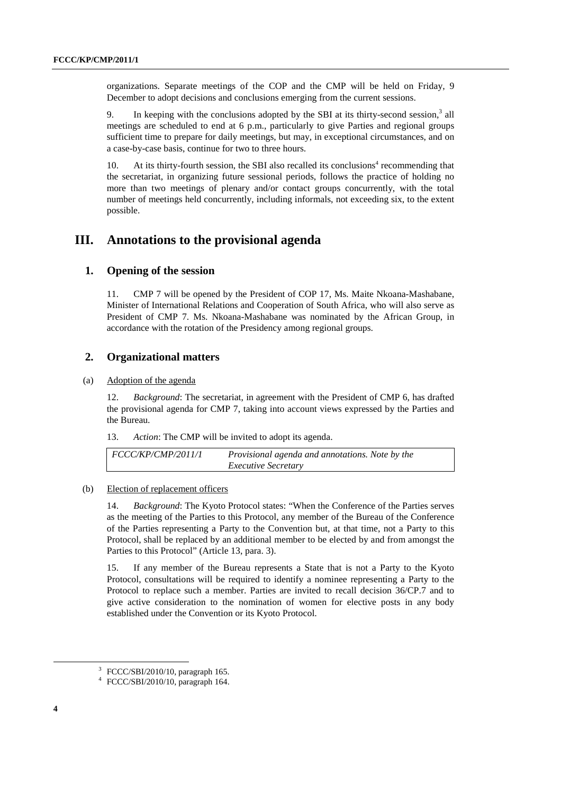organizations. Separate meetings of the COP and the CMP will be held on Friday, 9 December to adopt decisions and conclusions emerging from the current sessions.

9. In keeping with the conclusions adopted by the SBI at its thirty-second session,  $3$  all meetings are scheduled to end at 6 p.m., particularly to give Parties and regional groups sufficient time to prepare for daily meetings, but may, in exceptional circumstances, and on a case-by-case basis, continue for two to three hours.

10. At its thirty-fourth session, the SBI also recalled its conclusions<sup>4</sup> recommending that the secretariat, in organizing future sessional periods, follows the practice of holding no more than two meetings of plenary and/or contact groups concurrently, with the total number of meetings held concurrently, including informals, not exceeding six, to the extent possible.

## **III. Annotations to the provisional agenda**

#### **1. Opening of the session**

11. CMP 7 will be opened by the President of COP 17, Ms. Maite Nkoana-Mashabane, Minister of International Relations and Cooperation of South Africa, who will also serve as President of CMP 7. Ms. Nkoana-Mashabane was nominated by the African Group, in accordance with the rotation of the Presidency among regional groups.

## **2. Organizational matters**

#### (a) Adoption of the agenda

12. *Background*: The secretariat, in agreement with the President of CMP 6, has drafted the provisional agenda for CMP 7, taking into account views expressed by the Parties and the Bureau.

13. *Action*: The CMP will be invited to adopt its agenda.

| FCCC/KP/CMP/2011/1 | Provisional agenda and annotations. Note by the |
|--------------------|-------------------------------------------------|
|                    | <i>Executive Secretary</i>                      |

#### (b) Election of replacement officers

14. *Background*: The Kyoto Protocol states: "When the Conference of the Parties serves as the meeting of the Parties to this Protocol, any member of the Bureau of the Conference of the Parties representing a Party to the Convention but, at that time, not a Party to this Protocol, shall be replaced by an additional member to be elected by and from amongst the Parties to this Protocol" (Article 13, para. 3).

15. If any member of the Bureau represents a State that is not a Party to the Kyoto Protocol, consultations will be required to identify a nominee representing a Party to the Protocol to replace such a member. Parties are invited to recall decision 36/CP.7 and to give active consideration to the nomination of women for elective posts in any body established under the Convention or its Kyoto Protocol.

 $\overline{a}$ 

<sup>3</sup> FCCC/SBI/2010/10, paragraph 165.

<sup>4</sup> FCCC/SBI/2010/10, paragraph 164.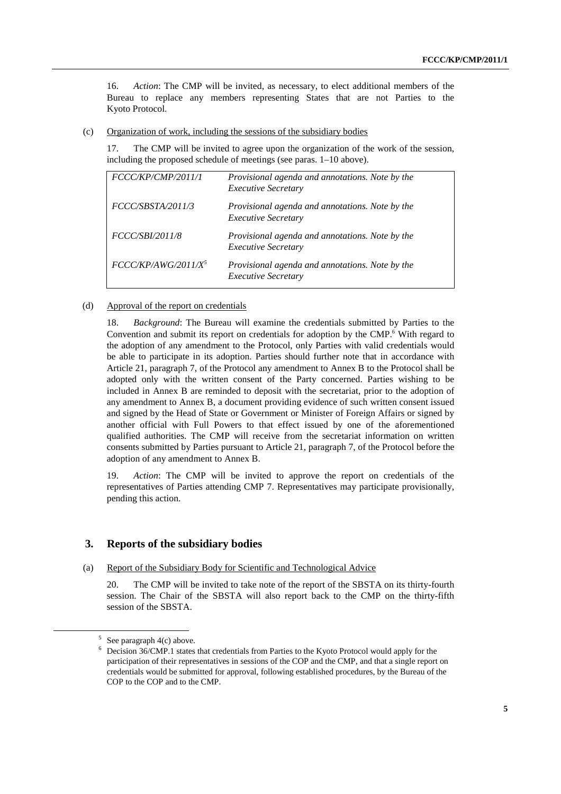16. *Action*: The CMP will be invited, as necessary, to elect additional members of the Bureau to replace any members representing States that are not Parties to the Kyoto Protocol.

(c) Organization of work, including the sessions of the subsidiary bodies

17. The CMP will be invited to agree upon the organization of the work of the session, including the proposed schedule of meetings (see paras. 1–10 above).

| Provisional agenda and annotations. Note by the<br><b>Executive Secretary</b> |
|-------------------------------------------------------------------------------|
| Provisional agenda and annotations. Note by the<br><b>Executive Secretary</b> |
| Provisional agenda and annotations. Note by the<br><b>Executive Secretary</b> |
| Provisional agenda and annotations. Note by the<br><b>Executive Secretary</b> |
|                                                                               |

#### (d) Approval of the report on credentials

18. *Background*: The Bureau will examine the credentials submitted by Parties to the Convention and submit its report on credentials for adoption by the CMP.<sup>6</sup> With regard to the adoption of any amendment to the Protocol, only Parties with valid credentials would be able to participate in its adoption. Parties should further note that in accordance with Article 21, paragraph 7, of the Protocol any amendment to Annex B to the Protocol shall be adopted only with the written consent of the Party concerned. Parties wishing to be included in Annex B are reminded to deposit with the secretariat, prior to the adoption of any amendment to Annex B, a document providing evidence of such written consent issued and signed by the Head of State or Government or Minister of Foreign Affairs or signed by another official with Full Powers to that effect issued by one of the aforementioned qualified authorities. The CMP will receive from the secretariat information on written consents submitted by Parties pursuant to Article 21, paragraph 7, of the Protocol before the adoption of any amendment to Annex B.

19. *Action*: The CMP will be invited to approve the report on credentials of the representatives of Parties attending CMP 7. Representatives may participate provisionally, pending this action.

#### **3. Reports of the subsidiary bodies**

(a) Report of the Subsidiary Body for Scientific and Technological Advice

20. The CMP will be invited to take note of the report of the SBSTA on its thirty-fourth session. The Chair of the SBSTA will also report back to the CMP on the thirty-fifth session of the SBSTA.

 $\frac{1}{5}$ See paragraph 4(c) above.

<sup>6</sup> Decision 36/CMP.1 states that credentials from Parties to the Kyoto Protocol would apply for the participation of their representatives in sessions of the COP and the CMP, and that a single report on credentials would be submitted for approval, following established procedures, by the Bureau of the COP to the COP and to the CMP.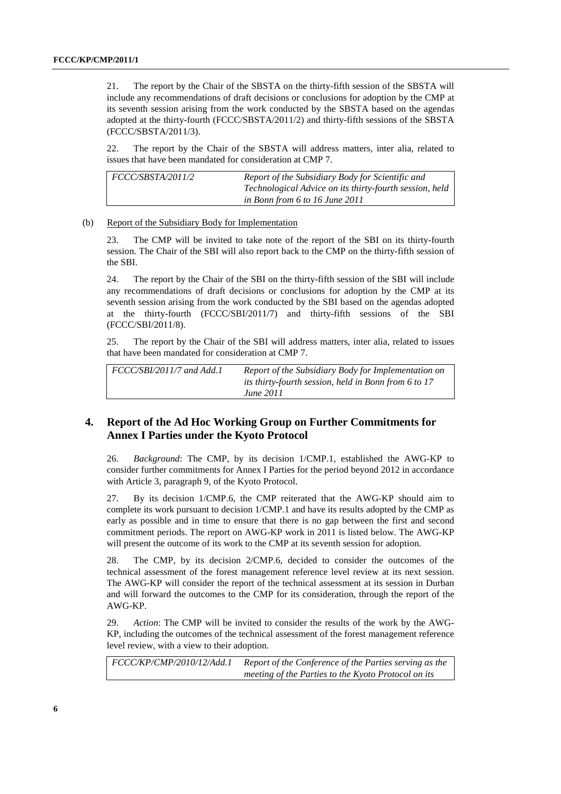21. The report by the Chair of the SBSTA on the thirty-fifth session of the SBSTA will include any recommendations of draft decisions or conclusions for adoption by the CMP at its seventh session arising from the work conducted by the SBSTA based on the agendas adopted at the thirty-fourth (FCCC/SBSTA/2011/2) and thirty-fifth sessions of the SBSTA (FCCC/SBSTA/2011/3).

22. The report by the Chair of the SBSTA will address matters, inter alia, related to issues that have been mandated for consideration at CMP 7.

| <i>FCCC/SBSTA/2011/2</i> | Report of the Subsidiary Body for Scientific and        |
|--------------------------|---------------------------------------------------------|
|                          | Technological Advice on its thirty-fourth session, held |
|                          | in Bonn from $6$ to 16 June 2011                        |

#### (b) Report of the Subsidiary Body for Implementation

23. The CMP will be invited to take note of the report of the SBI on its thirty-fourth session. The Chair of the SBI will also report back to the CMP on the thirty-fifth session of the SBI.

24. The report by the Chair of the SBI on the thirty-fifth session of the SBI will include any recommendations of draft decisions or conclusions for adoption by the CMP at its seventh session arising from the work conducted by the SBI based on the agendas adopted at the thirty-fourth (FCCC/SBI/2011/7) and thirty-fifth sessions of the SBI (FCCC/SBI/2011/8).

25. The report by the Chair of the SBI will address matters, inter alia, related to issues that have been mandated for consideration at CMP 7.

| $FCCC/SBI/2011/7$ and Add.1 | Report of the Subsidiary Body for Implementation on<br>its thirty-fourth session, held in Bonn from 6 to 17 |
|-----------------------------|-------------------------------------------------------------------------------------------------------------|
|                             | <i>June 2011</i>                                                                                            |

### **4. Report of the Ad Hoc Working Group on Further Commitments for Annex I Parties under the Kyoto Protocol**

26. *Background*: The CMP, by its decision 1/CMP.1, established the AWG-KP to consider further commitments for Annex I Parties for the period beyond 2012 in accordance with Article 3, paragraph 9, of the Kyoto Protocol.

27. By its decision 1/CMP.6, the CMP reiterated that the AWG-KP should aim to complete its work pursuant to decision 1/CMP.1 and have its results adopted by the CMP as early as possible and in time to ensure that there is no gap between the first and second commitment periods. The report on AWG-KP work in 2011 is listed below. The AWG-KP will present the outcome of its work to the CMP at its seventh session for adoption.

28. The CMP, by its decision 2/CMP.6, decided to consider the outcomes of the technical assessment of the forest management reference level review at its next session. The AWG-KP will consider the report of the technical assessment at its session in Durban and will forward the outcomes to the CMP for its consideration, through the report of the AWG-KP.

29. *Action*: The CMP will be invited to consider the results of the work by the AWG-KP, including the outcomes of the technical assessment of the forest management reference level review, with a view to their adoption.

*FCCC/KP/CMP/2010/12/Add.1 Report of the Conference of the Parties serving as the meeting of the Parties to the Kyoto Protocol on its*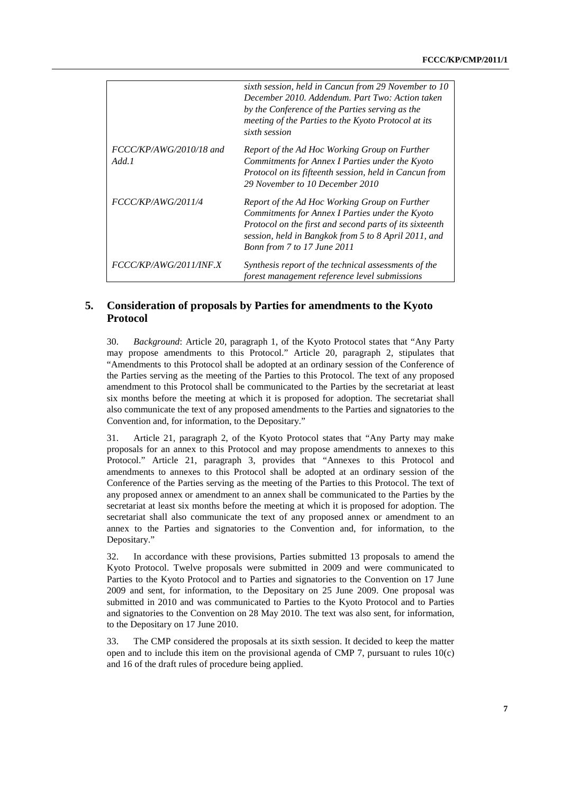|                                    | sixth session, held in Cancun from 29 November to 10<br>December 2010. Addendum. Part Two: Action taken<br>by the Conference of the Parties serving as the<br>meeting of the Parties to the Kyoto Protocol at its<br>sixth session                 |
|------------------------------------|----------------------------------------------------------------------------------------------------------------------------------------------------------------------------------------------------------------------------------------------------|
| $FCCC/KP/AWG/2010/18$ and<br>Add.1 | Report of the Ad Hoc Working Group on Further<br>Commitments for Annex I Parties under the Kyoto<br>Protocol on its fifteenth session, held in Cancun from<br>29 November to 10 December 2010                                                      |
| FCCC/KP/AWG/2011/4                 | Report of the Ad Hoc Working Group on Further<br>Commitments for Annex I Parties under the Kyoto<br>Protocol on the first and second parts of its sixteenth<br>session, held in Bangkok from 5 to 8 April 2011, and<br>Bonn from 7 to 17 June 2011 |
| FCCC/KP/AWG/2011/INF.X             | Synthesis report of the technical assessments of the<br>forest management reference level submissions                                                                                                                                              |

## **5. Consideration of proposals by Parties for amendments to the Kyoto Protocol**

30. *Background*: Article 20, paragraph 1, of the Kyoto Protocol states that "Any Party may propose amendments to this Protocol." Article 20, paragraph 2, stipulates that "Amendments to this Protocol shall be adopted at an ordinary session of the Conference of the Parties serving as the meeting of the Parties to this Protocol. The text of any proposed amendment to this Protocol shall be communicated to the Parties by the secretariat at least six months before the meeting at which it is proposed for adoption. The secretariat shall also communicate the text of any proposed amendments to the Parties and signatories to the Convention and, for information, to the Depositary."

31. Article 21, paragraph 2, of the Kyoto Protocol states that "Any Party may make proposals for an annex to this Protocol and may propose amendments to annexes to this Protocol." Article 21, paragraph 3, provides that "Annexes to this Protocol and amendments to annexes to this Protocol shall be adopted at an ordinary session of the Conference of the Parties serving as the meeting of the Parties to this Protocol. The text of any proposed annex or amendment to an annex shall be communicated to the Parties by the secretariat at least six months before the meeting at which it is proposed for adoption. The secretariat shall also communicate the text of any proposed annex or amendment to an annex to the Parties and signatories to the Convention and, for information, to the Depositary."

32. In accordance with these provisions, Parties submitted 13 proposals to amend the Kyoto Protocol. Twelve proposals were submitted in 2009 and were communicated to Parties to the Kyoto Protocol and to Parties and signatories to the Convention on 17 June 2009 and sent, for information, to the Depositary on 25 June 2009. One proposal was submitted in 2010 and was communicated to Parties to the Kyoto Protocol and to Parties and signatories to the Convention on 28 May 2010. The text was also sent, for information, to the Depositary on 17 June 2010.

33. The CMP considered the proposals at its sixth session. It decided to keep the matter open and to include this item on the provisional agenda of CMP 7, pursuant to rules  $10(c)$ and 16 of the draft rules of procedure being applied.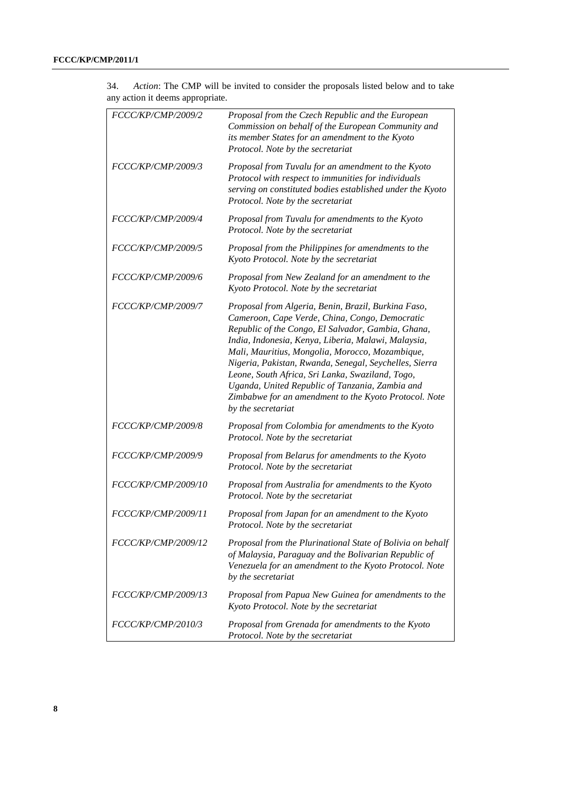| FCCC/KP/CMP/2009/2        | Proposal from the Czech Republic and the European<br>Commission on behalf of the European Community and<br>its member States for an amendment to the Kyoto<br>Protocol. Note by the secretariat                                                                                                                                                                                                                                                                                                                       |
|---------------------------|-----------------------------------------------------------------------------------------------------------------------------------------------------------------------------------------------------------------------------------------------------------------------------------------------------------------------------------------------------------------------------------------------------------------------------------------------------------------------------------------------------------------------|
| FCCC/KP/CMP/2009/3        | Proposal from Tuvalu for an amendment to the Kyoto<br>Protocol with respect to immunities for individuals<br>serving on constituted bodies established under the Kyoto<br>Protocol. Note by the secretariat                                                                                                                                                                                                                                                                                                           |
| FCCC/KP/CMP/2009/4        | Proposal from Tuvalu for amendments to the Kyoto<br>Protocol. Note by the secretariat                                                                                                                                                                                                                                                                                                                                                                                                                                 |
| FCCC/KP/CMP/2009/5        | Proposal from the Philippines for amendments to the<br>Kyoto Protocol. Note by the secretariat                                                                                                                                                                                                                                                                                                                                                                                                                        |
| FCCC/KP/CMP/2009/6        | Proposal from New Zealand for an amendment to the<br>Kyoto Protocol. Note by the secretariat                                                                                                                                                                                                                                                                                                                                                                                                                          |
| FCCC/KP/CMP/2009/7        | Proposal from Algeria, Benin, Brazil, Burkina Faso,<br>Cameroon, Cape Verde, China, Congo, Democratic<br>Republic of the Congo, El Salvador, Gambia, Ghana,<br>India, Indonesia, Kenya, Liberia, Malawi, Malaysia,<br>Mali, Mauritius, Mongolia, Morocco, Mozambique,<br>Nigeria, Pakistan, Rwanda, Senegal, Seychelles, Sierra<br>Leone, South Africa, Sri Lanka, Swaziland, Togo,<br>Uganda, United Republic of Tanzania, Zambia and<br>Zimbabwe for an amendment to the Kyoto Protocol. Note<br>by the secretariat |
| FCCC/KP/CMP/2009/8        | Proposal from Colombia for amendments to the Kyoto<br>Protocol. Note by the secretariat                                                                                                                                                                                                                                                                                                                                                                                                                               |
| FCCC/KP/CMP/2009/9        | Proposal from Belarus for amendments to the Kyoto<br>Protocol. Note by the secretariat                                                                                                                                                                                                                                                                                                                                                                                                                                |
| FCCC/KP/CMP/2009/10       | Proposal from Australia for amendments to the Kyoto<br>Protocol. Note by the secretariat                                                                                                                                                                                                                                                                                                                                                                                                                              |
| FCCC/KP/CMP/2009/11       | Proposal from Japan for an amendment to the Kyoto<br>Protocol. Note by the secretariat                                                                                                                                                                                                                                                                                                                                                                                                                                |
| FCCC/KP/CMP/2009/12       | Proposal from the Plurinational State of Bolivia on behalf<br>of Malaysia, Paraguay and the Bolivarian Republic of<br>Venezuela for an amendment to the Kyoto Protocol. Note<br>by the secretariat                                                                                                                                                                                                                                                                                                                    |
| FCCC/KP/CMP/2009/13       | Proposal from Papua New Guinea for amendments to the<br>Kyoto Protocol. Note by the secretariat                                                                                                                                                                                                                                                                                                                                                                                                                       |
| <i>FCCC/KP/CMP/2010/3</i> | Proposal from Grenada for amendments to the Kyoto<br>Protocol. Note by the secretariat                                                                                                                                                                                                                                                                                                                                                                                                                                |

34. *Action*: The CMP will be invited to consider the proposals listed below and to take any action it deems appropriate.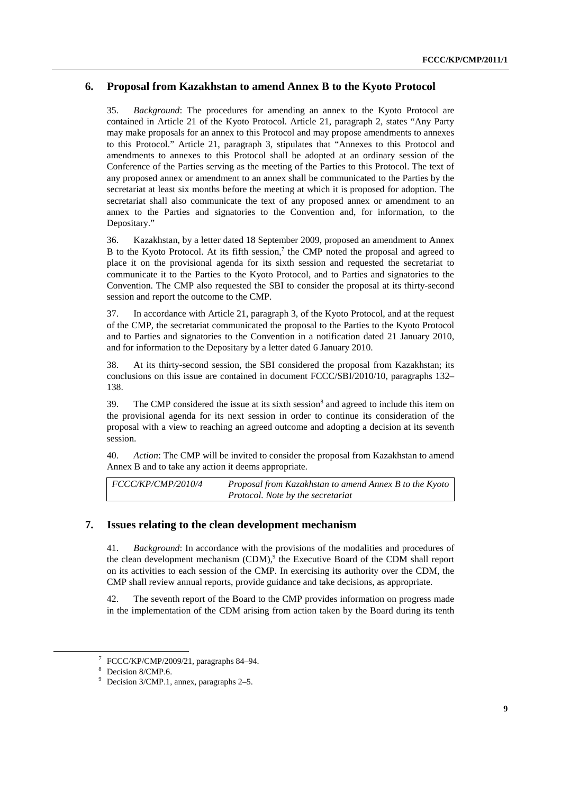### **6. Proposal from Kazakhstan to amend Annex B to the Kyoto Protocol**

35. *Background*: The procedures for amending an annex to the Kyoto Protocol are contained in Article 21 of the Kyoto Protocol. Article 21, paragraph 2, states "Any Party may make proposals for an annex to this Protocol and may propose amendments to annexes to this Protocol." Article 21, paragraph 3, stipulates that "Annexes to this Protocol and amendments to annexes to this Protocol shall be adopted at an ordinary session of the Conference of the Parties serving as the meeting of the Parties to this Protocol. The text of any proposed annex or amendment to an annex shall be communicated to the Parties by the secretariat at least six months before the meeting at which it is proposed for adoption. The secretariat shall also communicate the text of any proposed annex or amendment to an annex to the Parties and signatories to the Convention and, for information, to the Depositary."

36. Kazakhstan, by a letter dated 18 September 2009, proposed an amendment to Annex B to the Kyoto Protocol. At its fifth session,<sup>7</sup> the CMP noted the proposal and agreed to place it on the provisional agenda for its sixth session and requested the secretariat to communicate it to the Parties to the Kyoto Protocol, and to Parties and signatories to the Convention. The CMP also requested the SBI to consider the proposal at its thirty-second session and report the outcome to the CMP.

37. In accordance with Article 21, paragraph 3, of the Kyoto Protocol, and at the request of the CMP, the secretariat communicated the proposal to the Parties to the Kyoto Protocol and to Parties and signatories to the Convention in a notification dated 21 January 2010, and for information to the Depositary by a letter dated 6 January 2010.

38. At its thirty-second session, the SBI considered the proposal from Kazakhstan; its conclusions on this issue are contained in document FCCC/SBI/2010/10, paragraphs 132– 138.

39. The CMP considered the issue at its sixth session<sup>8</sup> and agreed to include this item on the provisional agenda for its next session in order to continue its consideration of the proposal with a view to reaching an agreed outcome and adopting a decision at its seventh session.

40. *Action*: The CMP will be invited to consider the proposal from Kazakhstan to amend Annex B and to take any action it deems appropriate.

*FCCC/KP/CMP/2010/4 Proposal from Kazakhstan to amend Annex B to the Kyoto Protocol. Note by the secretariat* 

#### **7. Issues relating to the clean development mechanism**

41. *Background*: In accordance with the provisions of the modalities and procedures of the clean development mechanism  $(CDM)$ ,<sup>9</sup> the Executive Board of the CDM shall report on its activities to each session of the CMP. In exercising its authority over the CDM, the CMP shall review annual reports, provide guidance and take decisions, as appropriate.

42. The seventh report of the Board to the CMP provides information on progress made in the implementation of the CDM arising from action taken by the Board during its tenth

 <sup>7</sup>  $7$  FCCC/KP/CMP/2009/21, paragraphs 84–94.

<sup>8</sup> Decision 8/CMP.6.

<sup>&</sup>lt;sup>9</sup> Decision 3/CMP.1, annex, paragraphs 2–5.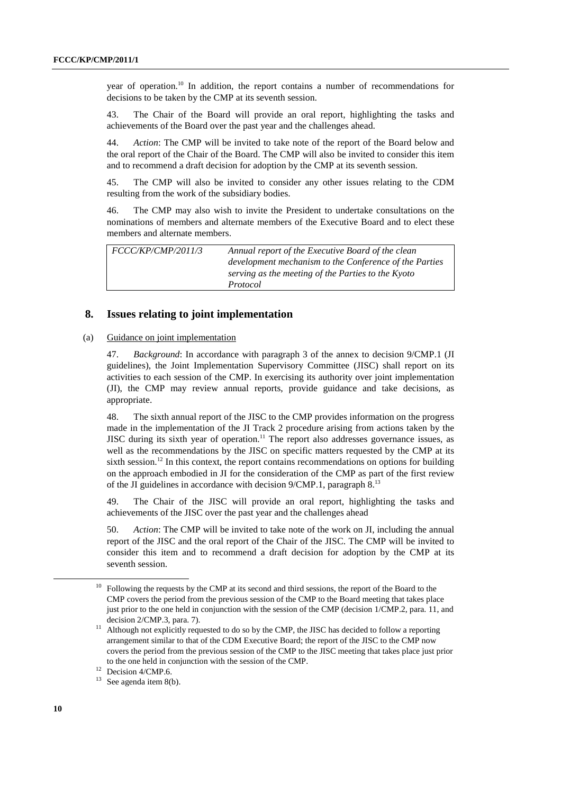year of operation.10 In addition, the report contains a number of recommendations for decisions to be taken by the CMP at its seventh session.

43. The Chair of the Board will provide an oral report, highlighting the tasks and achievements of the Board over the past year and the challenges ahead.

44. *Action*: The CMP will be invited to take note of the report of the Board below and the oral report of the Chair of the Board. The CMP will also be invited to consider this item and to recommend a draft decision for adoption by the CMP at its seventh session.

45. The CMP will also be invited to consider any other issues relating to the CDM resulting from the work of the subsidiary bodies.

46. The CMP may also wish to invite the President to undertake consultations on the nominations of members and alternate members of the Executive Board and to elect these members and alternate members.

*FCCC/KP/CMP/2011/3 Annual report of the Executive Board of the clean development mechanism to the Conference of the Parties serving as the meeting of the Parties to the Kyoto Protocol* 

#### **8. Issues relating to joint implementation**

#### (a) Guidance on joint implementation

47. *Background*: In accordance with paragraph 3 of the annex to decision 9/CMP.1 (JI guidelines), the Joint Implementation Supervisory Committee (JISC) shall report on its activities to each session of the CMP. In exercising its authority over joint implementation (JI), the CMP may review annual reports, provide guidance and take decisions, as appropriate.

48. The sixth annual report of the JISC to the CMP provides information on the progress made in the implementation of the JI Track 2 procedure arising from actions taken by the JISC during its sixth year of operation.<sup>11</sup> The report also addresses governance issues, as well as the recommendations by the JISC on specific matters requested by the CMP at its sixth session.<sup>12</sup> In this context, the report contains recommendations on options for building on the approach embodied in JI for the consideration of the CMP as part of the first review of the JI guidelines in accordance with decision 9/CMP.1, paragraph 8.13

49. The Chair of the JISC will provide an oral report, highlighting the tasks and achievements of the JISC over the past year and the challenges ahead

50. *Action*: The CMP will be invited to take note of the work on JI, including the annual report of the JISC and the oral report of the Chair of the JISC. The CMP will be invited to consider this item and to recommend a draft decision for adoption by the CMP at its seventh session.

 <sup>10</sup> Following the requests by the CMP at its second and third sessions, the report of the Board to the CMP covers the period from the previous session of the CMP to the Board meeting that takes place just prior to the one held in conjunction with the session of the CMP (decision 1/CMP.2, para. 11, and

decision 2/CMP.3, para. 7).<br><sup>11</sup> Although not explicitly requested to do so by the CMP, the JISC has decided to follow a reporting arrangement similar to that of the CDM Executive Board; the report of the JISC to the CMP now covers the period from the previous session of the CMP to the JISC meeting that takes place just prior to the one held in conjunction with the session of the CMP.<br><sup>12</sup> Decision 4/CMP.6.<br><sup>13</sup> See agenda item  $8(b)$ 

See agenda item  $8(b)$ .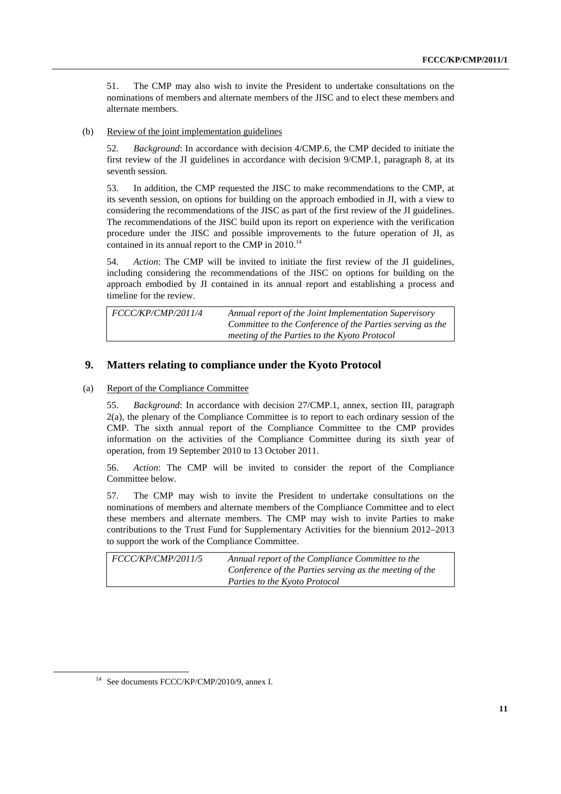51. The CMP may also wish to invite the President to undertake consultations on the nominations of members and alternate members of the JISC and to elect these members and alternate members.

(b) Review of the joint implementation guidelines

52. *Background*: In accordance with decision 4/CMP.6, the CMP decided to initiate the first review of the JI guidelines in accordance with decision 9/CMP.1, paragraph 8, at its seventh session.

53. In addition, the CMP requested the JISC to make recommendations to the CMP, at its seventh session, on options for building on the approach embodied in JI, with a view to considering the recommendations of the JISC as part of the first review of the JI guidelines. The recommendations of the JISC build upon its report on experience with the verification procedure under the JISC and possible improvements to the future operation of JI, as contained in its annual report to the CMP in  $2010$ .<sup>14</sup>

54. *Action*: The CMP will be invited to initiate the first review of the JI guidelines, including considering the recommendations of the JISC on options for building on the approach embodied by JI contained in its annual report and establishing a process and timeline for the review.

| FCCC/KP/CMP/2011/4 | Annual report of the Joint Implementation Supervisory     |
|--------------------|-----------------------------------------------------------|
|                    | Committee to the Conference of the Parties serving as the |
|                    | meeting of the Parties to the Kyoto Protocol              |

### **9. Matters relating to compliance under the Kyoto Protocol**

#### (a) Report of the Compliance Committee

55. *Background*: In accordance with decision 27/CMP.1, annex, section III, paragraph 2(a), the plenary of the Compliance Committee is to report to each ordinary session of the CMP. The sixth annual report of the Compliance Committee to the CMP provides information on the activities of the Compliance Committee during its sixth year of operation, from 19 September 2010 to 13 October 2011.

56. *Action*: The CMP will be invited to consider the report of the Compliance Committee below.

57. The CMP may wish to invite the President to undertake consultations on the nominations of members and alternate members of the Compliance Committee and to elect these members and alternate members. The CMP may wish to invite Parties to make contributions to the Trust Fund for Supplementary Activities for the biennium 2012–2013 to support the work of the Compliance Committee.

| <i>FCCC/KP/CMP/2011/5</i> | Annual report of the Compliance Committee to the        |
|---------------------------|---------------------------------------------------------|
|                           | Conference of the Parties serving as the meeting of the |
|                           | Parties to the Kyoto Protocol                           |

 <sup>14</sup> See documents FCCC/KP/CMP/2010/9, annex I.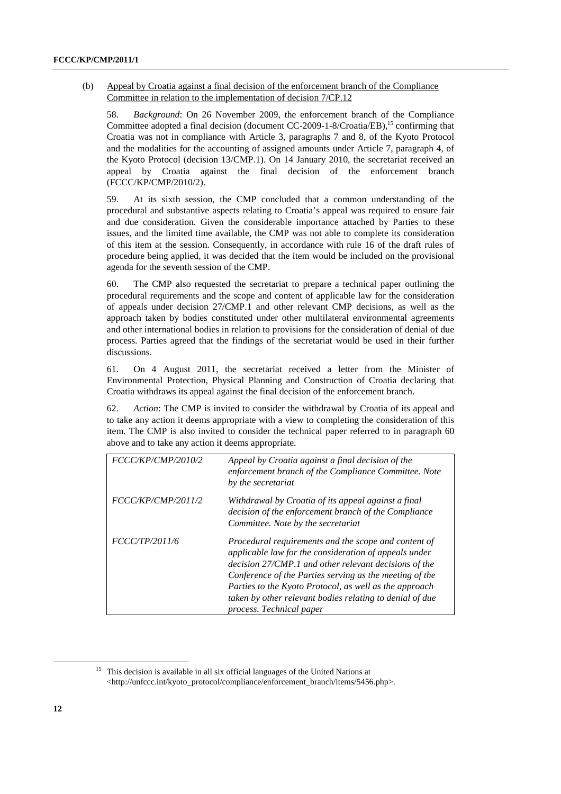(b) Appeal by Croatia against a final decision of the enforcement branch of the Compliance Committee in relation to the implementation of decision 7/CP.12

58. *Background*: On 26 November 2009, the enforcement branch of the Compliance Committee adopted a final decision (document CC-2009-1-8/Croatia/EB),<sup>15</sup> confirming that Croatia was not in compliance with Article 3, paragraphs 7 and 8, of the Kyoto Protocol and the modalities for the accounting of assigned amounts under Article 7, paragraph 4, of the Kyoto Protocol (decision 13/CMP.1). On 14 January 2010, the secretariat received an appeal by Croatia against the final decision of the enforcement branch (FCCC/KP/CMP/2010/2).

59. At its sixth session, the CMP concluded that a common understanding of the procedural and substantive aspects relating to Croatia's appeal was required to ensure fair and due consideration. Given the considerable importance attached by Parties to these issues, and the limited time available, the CMP was not able to complete its consideration of this item at the session. Consequently, in accordance with rule 16 of the draft rules of procedure being applied, it was decided that the item would be included on the provisional agenda for the seventh session of the CMP.

60. The CMP also requested the secretariat to prepare a technical paper outlining the procedural requirements and the scope and content of applicable law for the consideration of appeals under decision 27/CMP.1 and other relevant CMP decisions, as well as the approach taken by bodies constituted under other multilateral environmental agreements and other international bodies in relation to provisions for the consideration of denial of due process. Parties agreed that the findings of the secretariat would be used in their further discussions.

61. On 4 August 2011, the secretariat received a letter from the Minister of Environmental Protection, Physical Planning and Construction of Croatia declaring that Croatia withdraws its appeal against the final decision of the enforcement branch.

62. *Action*: The CMP is invited to consider the withdrawal by Croatia of its appeal and to take any action it deems appropriate with a view to completing the consideration of this item. The CMP is also invited to consider the technical paper referred to in paragraph 60 above and to take any action it deems appropriate.

| FCCC/KP/CMP/2010/2 | Appeal by Croatia against a final decision of the<br>enforcement branch of the Compliance Committee. Note<br>by the secretariat                                                                                                                                                                                                                                                     |
|--------------------|-------------------------------------------------------------------------------------------------------------------------------------------------------------------------------------------------------------------------------------------------------------------------------------------------------------------------------------------------------------------------------------|
| FCCC/KP/CMP/2011/2 | Withdrawal by Croatia of its appeal against a final<br>decision of the enforcement branch of the Compliance<br>Committee. Note by the secretariat                                                                                                                                                                                                                                   |
| FCCC/TP/2011/6     | Procedural requirements and the scope and content of<br>applicable law for the consideration of appeals under<br>decision 27/CMP.1 and other relevant decisions of the<br>Conference of the Parties serving as the meeting of the<br>Parties to the Kyoto Protocol, as well as the approach<br>taken by other relevant bodies relating to denial of due<br>process. Technical paper |

<sup>&</sup>lt;sup>15</sup> This decision is available in all six official languages of the United Nations at <http://unfccc.int/kyoto\_protocol/compliance/enforcement\_branch/items/5456.php>.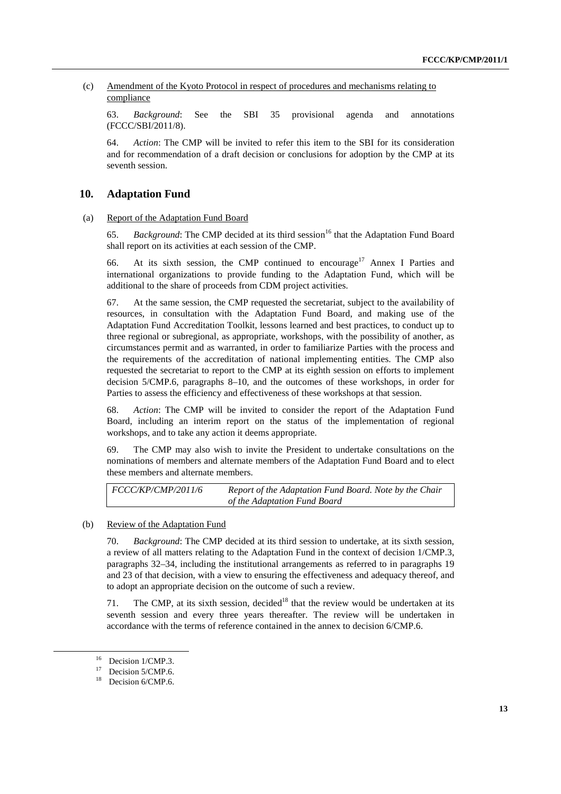(c) Amendment of the Kyoto Protocol in respect of procedures and mechanisms relating to compliance

63. *Background*: See the SBI 35 provisional agenda and annotations (FCCC/SBI/2011/8).

64. *Action*: The CMP will be invited to refer this item to the SBI for its consideration and for recommendation of a draft decision or conclusions for adoption by the CMP at its seventh session.

#### **10. Adaptation Fund**

(a) Report of the Adaptation Fund Board

65. *Background*: The CMP decided at its third session<sup>16</sup> that the Adaptation Fund Board shall report on its activities at each session of the CMP.

66. At its sixth session, the CMP continued to encourage<sup>17</sup> Annex I Parties and international organizations to provide funding to the Adaptation Fund, which will be additional to the share of proceeds from CDM project activities.

67. At the same session, the CMP requested the secretariat, subject to the availability of resources, in consultation with the Adaptation Fund Board, and making use of the Adaptation Fund Accreditation Toolkit, lessons learned and best practices, to conduct up to three regional or subregional, as appropriate, workshops, with the possibility of another, as circumstances permit and as warranted, in order to familiarize Parties with the process and the requirements of the accreditation of national implementing entities. The CMP also requested the secretariat to report to the CMP at its eighth session on efforts to implement decision 5/CMP.6, paragraphs 8–10, and the outcomes of these workshops, in order for Parties to assess the efficiency and effectiveness of these workshops at that session.

68. *Action*: The CMP will be invited to consider the report of the Adaptation Fund Board, including an interim report on the status of the implementation of regional workshops, and to take any action it deems appropriate.

69. The CMP may also wish to invite the President to undertake consultations on the nominations of members and alternate members of the Adaptation Fund Board and to elect these members and alternate members.

*FCCC/KP/CMP/2011/6 Report of the Adaptation Fund Board. Note by the Chair of the Adaptation Fund Board* 

#### (b) Review of the Adaptation Fund

70. *Background*: The CMP decided at its third session to undertake, at its sixth session, a review of all matters relating to the Adaptation Fund in the context of decision 1/CMP.3, paragraphs 32–34, including the institutional arrangements as referred to in paragraphs 19 and 23 of that decision, with a view to ensuring the effectiveness and adequacy thereof, and to adopt an appropriate decision on the outcome of such a review.

71. The CMP, at its sixth session, decided<sup>18</sup> that the review would be undertaken at its seventh session and every three years thereafter. The review will be undertaken in accordance with the terms of reference contained in the annex to decision 6/CMP.6.

<sup>&</sup>lt;sup>16</sup> Decision 1/CMP.3.

<sup>&</sup>lt;sup>17</sup> Decision 5/CMP.6.

<sup>&</sup>lt;sup>18</sup> Decision 6/CMP.6.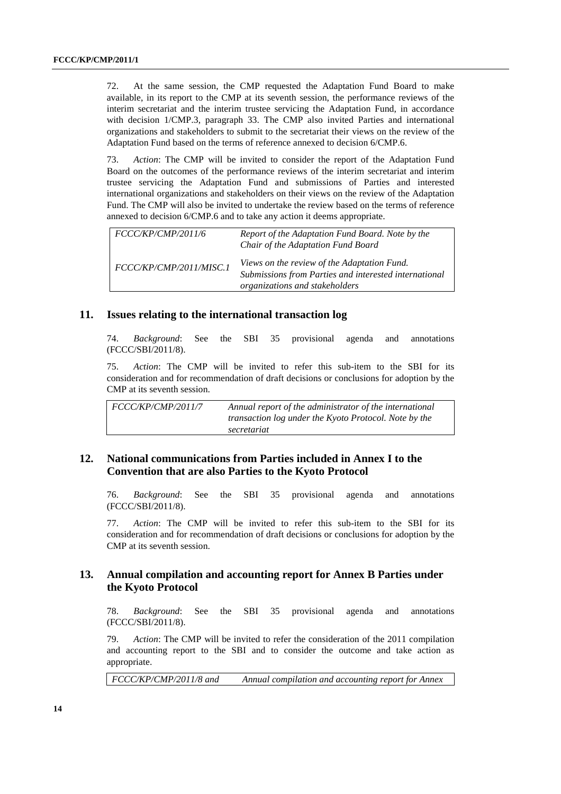72. At the same session, the CMP requested the Adaptation Fund Board to make available, in its report to the CMP at its seventh session, the performance reviews of the interim secretariat and the interim trustee servicing the Adaptation Fund, in accordance with decision 1/CMP.3, paragraph 33. The CMP also invited Parties and international organizations and stakeholders to submit to the secretariat their views on the review of the Adaptation Fund based on the terms of reference annexed to decision 6/CMP.6.

73. *Action*: The CMP will be invited to consider the report of the Adaptation Fund Board on the outcomes of the performance reviews of the interim secretariat and interim trustee servicing the Adaptation Fund and submissions of Parties and interested international organizations and stakeholders on their views on the review of the Adaptation Fund. The CMP will also be invited to undertake the review based on the terms of reference annexed to decision 6/CMP.6 and to take any action it deems appropriate.

*FCCC/KP/CMP/2011/6 FCCC/KP/CMP/2011/MISC.1 Report of the Adaptation Fund Board. Note by the Chair of the Adaptation Fund Board Views on the review of the Adaptation Fund. Submissions from Parties and interested international organizations and stakeholders*

#### **11. Issues relating to the international transaction log**

74. *Background*: See the SBI 35 provisional agenda and annotations (FCCC/SBI/2011/8).

75. *Action*: The CMP will be invited to refer this sub-item to the SBI for its consideration and for recommendation of draft decisions or conclusions for adoption by the CMP at its seventh session.

*FCCC/KP/CMP/2011/7 Annual report of the administrator of the international transaction log under the Kyoto Protocol. Note by the secretariat*

## **12. National communications from Parties included in Annex I to the Convention that are also Parties to the Kyoto Protocol**

76. *Background*: See the SBI 35 provisional agenda and annotations (FCCC/SBI/2011/8).

77. *Action*: The CMP will be invited to refer this sub-item to the SBI for its consideration and for recommendation of draft decisions or conclusions for adoption by the CMP at its seventh session.

### **13. Annual compilation and accounting report for Annex B Parties under the Kyoto Protocol**

78. *Background*: See the SBI 35 provisional agenda and annotations (FCCC/SBI/2011/8).

79. *Action*: The CMP will be invited to refer the consideration of the 2011 compilation and accounting report to the SBI and to consider the outcome and take action as appropriate.

*FCCC/KP/CMP/2011/8 and Annual compilation and accounting report for Annex*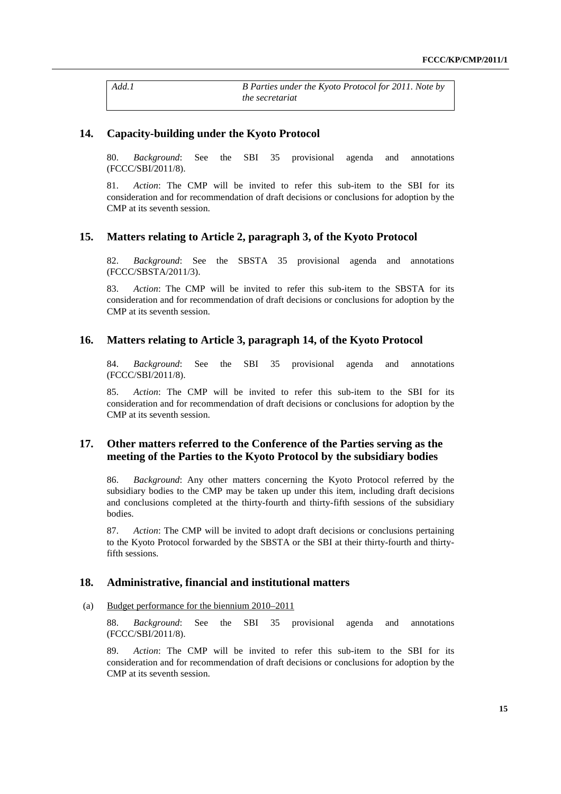*Add.1 B Parties under the Kyoto Protocol for 2011. Note by the secretariat* 

#### **14. Capacity-building under the Kyoto Protocol**

80. *Background*: See the SBI 35 provisional agenda and annotations (FCCC/SBI/2011/8).

81. *Action*: The CMP will be invited to refer this sub-item to the SBI for its consideration and for recommendation of draft decisions or conclusions for adoption by the CMP at its seventh session.

#### **15. Matters relating to Article 2, paragraph 3, of the Kyoto Protocol**

82. *Background*: See the SBSTA 35 provisional agenda and annotations (FCCC/SBSTA/2011/3).

83. *Action*: The CMP will be invited to refer this sub-item to the SBSTA for its consideration and for recommendation of draft decisions or conclusions for adoption by the CMP at its seventh session.

#### **16. Matters relating to Article 3, paragraph 14, of the Kyoto Protocol**

84. *Background*: See the SBI 35 provisional agenda and annotations (FCCC/SBI/2011/8).

85. *Action*: The CMP will be invited to refer this sub-item to the SBI for its consideration and for recommendation of draft decisions or conclusions for adoption by the CMP at its seventh session.

### **17. Other matters referred to the Conference of the Parties serving as the meeting of the Parties to the Kyoto Protocol by the subsidiary bodies**

86. *Background*: Any other matters concerning the Kyoto Protocol referred by the subsidiary bodies to the CMP may be taken up under this item, including draft decisions and conclusions completed at the thirty-fourth and thirty-fifth sessions of the subsidiary bodies.

87. *Action*: The CMP will be invited to adopt draft decisions or conclusions pertaining to the Kyoto Protocol forwarded by the SBSTA or the SBI at their thirty-fourth and thirtyfifth sessions.

#### **18. Administrative, financial and institutional matters**

#### (a) Budget performance for the biennium 2010–2011

88. *Background*: See the SBI 35 provisional agenda and annotations (FCCC/SBI/2011/8).

89. *Action*: The CMP will be invited to refer this sub-item to the SBI for its consideration and for recommendation of draft decisions or conclusions for adoption by the CMP at its seventh session.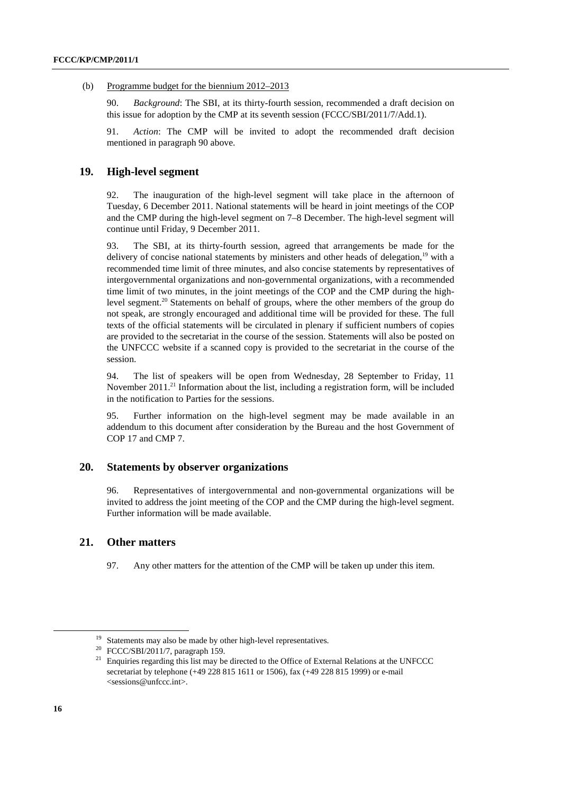#### (b) Programme budget for the biennium 2012–2013

90. *Background*: The SBI, at its thirty-fourth session, recommended a draft decision on this issue for adoption by the CMP at its seventh session (FCCC/SBI/2011/7/Add.1).

91. *Action*: The CMP will be invited to adopt the recommended draft decision mentioned in paragraph 90 above.

#### **19. High-level segment**

92. The inauguration of the high-level segment will take place in the afternoon of Tuesday, 6 December 2011. National statements will be heard in joint meetings of the COP and the CMP during the high-level segment on 7–8 December. The high-level segment will continue until Friday, 9 December 2011.

93. The SBI, at its thirty-fourth session, agreed that arrangements be made for the delivery of concise national statements by ministers and other heads of delegation, $19$  with a recommended time limit of three minutes, and also concise statements by representatives of intergovernmental organizations and non-governmental organizations, with a recommended time limit of two minutes, in the joint meetings of the COP and the CMP during the highlevel segment.<sup>20</sup> Statements on behalf of groups, where the other members of the group do not speak, are strongly encouraged and additional time will be provided for these. The full texts of the official statements will be circulated in plenary if sufficient numbers of copies are provided to the secretariat in the course of the session. Statements will also be posted on the UNFCCC website if a scanned copy is provided to the secretariat in the course of the session.

94. The list of speakers will be open from Wednesday, 28 September to Friday, 11 November  $2011<sup>21</sup>$  Information about the list, including a registration form, will be included in the notification to Parties for the sessions.

95. Further information on the high-level segment may be made available in an addendum to this document after consideration by the Bureau and the host Government of COP 17 and CMP 7.

#### **20. Statements by observer organizations**

96. Representatives of intergovernmental and non-governmental organizations will be invited to address the joint meeting of the COP and the CMP during the high-level segment. Further information will be made available.

#### **21. Other matters**

97. Any other matters for the attention of the CMP will be taken up under this item.

 $19$  Statements may also be made by other high-level representatives.

<sup>20</sup> FCCC/SBI/2011/7, paragraph 159.

<sup>&</sup>lt;sup>21</sup> Enquiries regarding this list may be directed to the Office of External Relations at the UNFCCC secretariat by telephone (+49 228 815 1611 or 1506), fax (+49 228 815 1999) or e-mail <sessions@unfccc.int>.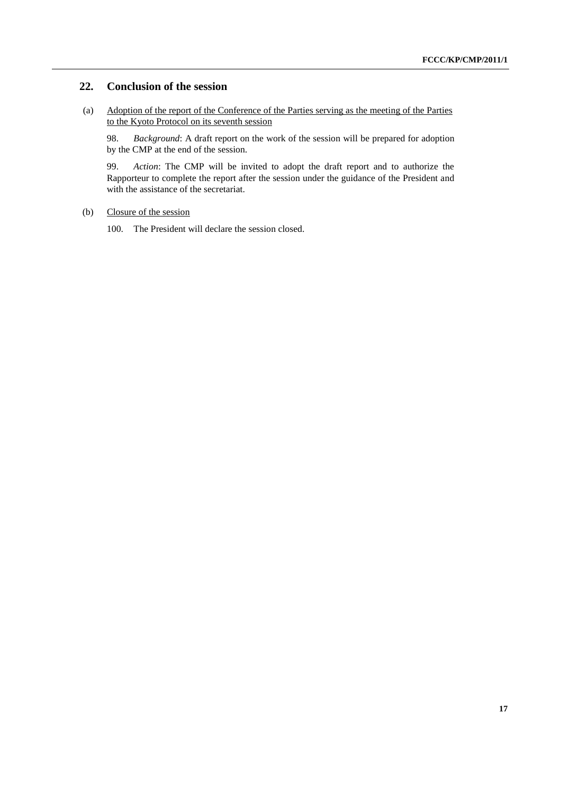### **22. Conclusion of the session**

(a) Adoption of the report of the Conference of the Parties serving as the meeting of the Parties to the Kyoto Protocol on its seventh session

98. *Background*: A draft report on the work of the session will be prepared for adoption by the CMP at the end of the session.

99. *Action*: The CMP will be invited to adopt the draft report and to authorize the Rapporteur to complete the report after the session under the guidance of the President and with the assistance of the secretariat.

#### (b) Closure of the session

100. The President will declare the session closed.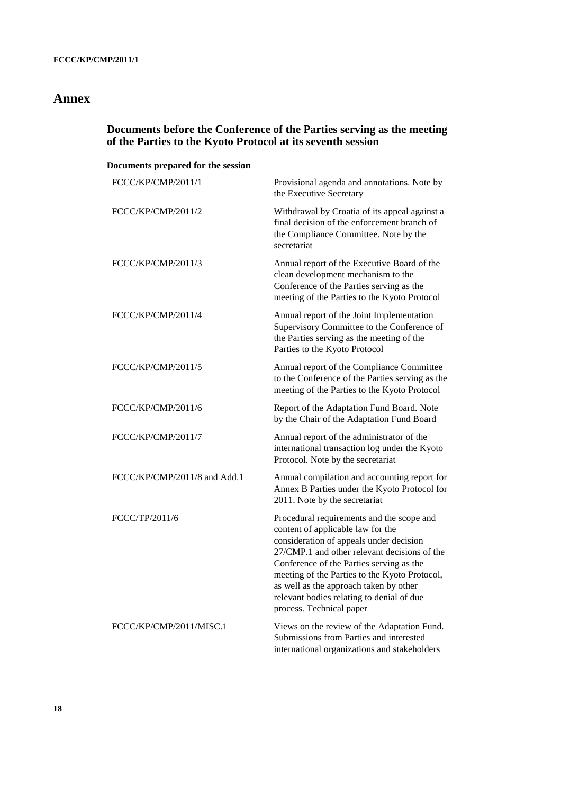## **Annex**

## **Documents before the Conference of the Parties serving as the meeting of the Parties to the Kyoto Protocol at its seventh session**

## **Documents prepared for the session**

| FCCC/KP/CMP/2011/1           | Provisional agenda and annotations. Note by<br>the Executive Secretary                                                                                                                                                                                                                                                                                                                    |
|------------------------------|-------------------------------------------------------------------------------------------------------------------------------------------------------------------------------------------------------------------------------------------------------------------------------------------------------------------------------------------------------------------------------------------|
| FCCC/KP/CMP/2011/2           | Withdrawal by Croatia of its appeal against a<br>final decision of the enforcement branch of<br>the Compliance Committee. Note by the<br>secretariat                                                                                                                                                                                                                                      |
| FCCC/KP/CMP/2011/3           | Annual report of the Executive Board of the<br>clean development mechanism to the<br>Conference of the Parties serving as the<br>meeting of the Parties to the Kyoto Protocol                                                                                                                                                                                                             |
| FCCC/KP/CMP/2011/4           | Annual report of the Joint Implementation<br>Supervisory Committee to the Conference of<br>the Parties serving as the meeting of the<br>Parties to the Kyoto Protocol                                                                                                                                                                                                                     |
| FCCC/KP/CMP/2011/5           | Annual report of the Compliance Committee<br>to the Conference of the Parties serving as the<br>meeting of the Parties to the Kyoto Protocol                                                                                                                                                                                                                                              |
| FCCC/KP/CMP/2011/6           | Report of the Adaptation Fund Board. Note<br>by the Chair of the Adaptation Fund Board                                                                                                                                                                                                                                                                                                    |
| FCCC/KP/CMP/2011/7           | Annual report of the administrator of the<br>international transaction log under the Kyoto<br>Protocol. Note by the secretariat                                                                                                                                                                                                                                                           |
| FCCC/KP/CMP/2011/8 and Add.1 | Annual compilation and accounting report for<br>Annex B Parties under the Kyoto Protocol for<br>2011. Note by the secretariat                                                                                                                                                                                                                                                             |
| FCCC/TP/2011/6               | Procedural requirements and the scope and<br>content of applicable law for the<br>consideration of appeals under decision<br>27/CMP.1 and other relevant decisions of the<br>Conference of the Parties serving as the<br>meeting of the Parties to the Kyoto Protocol,<br>as well as the approach taken by other<br>relevant bodies relating to denial of due<br>process. Technical paper |
| FCCC/KP/CMP/2011/MISC.1      | Views on the review of the Adaptation Fund.<br>Submissions from Parties and interested<br>international organizations and stakeholders                                                                                                                                                                                                                                                    |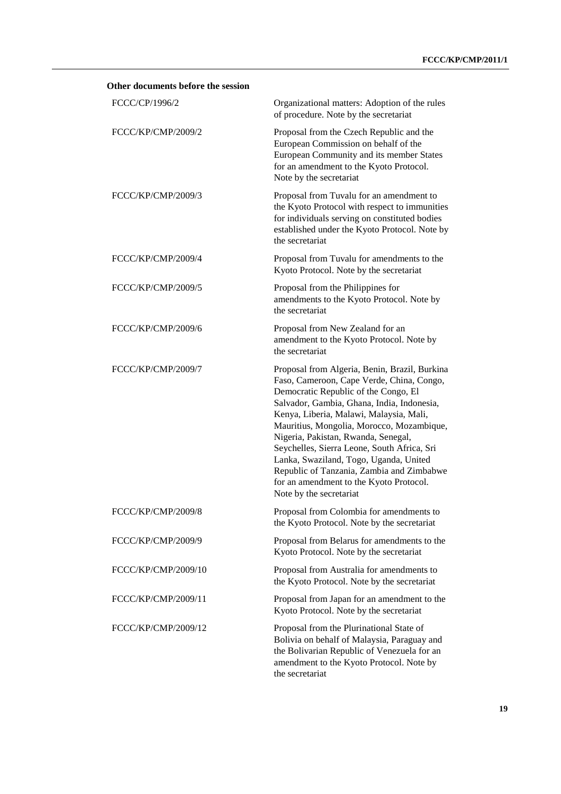| Other documents before the session |                                                                                                                                                                                                                                                                                                                                                                                                                                                                                                                             |
|------------------------------------|-----------------------------------------------------------------------------------------------------------------------------------------------------------------------------------------------------------------------------------------------------------------------------------------------------------------------------------------------------------------------------------------------------------------------------------------------------------------------------------------------------------------------------|
| FCCC/CP/1996/2                     | Organizational matters: Adoption of the rules<br>of procedure. Note by the secretariat                                                                                                                                                                                                                                                                                                                                                                                                                                      |
| FCCC/KP/CMP/2009/2                 | Proposal from the Czech Republic and the<br>European Commission on behalf of the<br>European Community and its member States<br>for an amendment to the Kyoto Protocol.<br>Note by the secretariat                                                                                                                                                                                                                                                                                                                          |
| FCCC/KP/CMP/2009/3                 | Proposal from Tuvalu for an amendment to<br>the Kyoto Protocol with respect to immunities<br>for individuals serving on constituted bodies<br>established under the Kyoto Protocol. Note by<br>the secretariat                                                                                                                                                                                                                                                                                                              |
| FCCC/KP/CMP/2009/4                 | Proposal from Tuvalu for amendments to the<br>Kyoto Protocol. Note by the secretariat                                                                                                                                                                                                                                                                                                                                                                                                                                       |
| FCCC/KP/CMP/2009/5                 | Proposal from the Philippines for<br>amendments to the Kyoto Protocol. Note by<br>the secretariat                                                                                                                                                                                                                                                                                                                                                                                                                           |
| FCCC/KP/CMP/2009/6                 | Proposal from New Zealand for an<br>amendment to the Kyoto Protocol. Note by<br>the secretariat                                                                                                                                                                                                                                                                                                                                                                                                                             |
| FCCC/KP/CMP/2009/7                 | Proposal from Algeria, Benin, Brazil, Burkina<br>Faso, Cameroon, Cape Verde, China, Congo,<br>Democratic Republic of the Congo, El<br>Salvador, Gambia, Ghana, India, Indonesia,<br>Kenya, Liberia, Malawi, Malaysia, Mali,<br>Mauritius, Mongolia, Morocco, Mozambique,<br>Nigeria, Pakistan, Rwanda, Senegal,<br>Seychelles, Sierra Leone, South Africa, Sri<br>Lanka, Swaziland, Togo, Uganda, United<br>Republic of Tanzania, Zambia and Zimbabwe<br>for an amendment to the Kyoto Protocol.<br>Note by the secretariat |
| FCCC/KP/CMP/2009/8                 | Proposal from Colombia for amendments to<br>the Kyoto Protocol. Note by the secretariat                                                                                                                                                                                                                                                                                                                                                                                                                                     |
| FCCC/KP/CMP/2009/9                 | Proposal from Belarus for amendments to the<br>Kyoto Protocol. Note by the secretariat                                                                                                                                                                                                                                                                                                                                                                                                                                      |
| FCCC/KP/CMP/2009/10                | Proposal from Australia for amendments to<br>the Kyoto Protocol. Note by the secretariat                                                                                                                                                                                                                                                                                                                                                                                                                                    |
| FCCC/KP/CMP/2009/11                | Proposal from Japan for an amendment to the<br>Kyoto Protocol. Note by the secretariat                                                                                                                                                                                                                                                                                                                                                                                                                                      |
| FCCC/KP/CMP/2009/12                | Proposal from the Plurinational State of<br>Bolivia on behalf of Malaysia, Paraguay and<br>the Bolivarian Republic of Venezuela for an<br>amendment to the Kyoto Protocol. Note by<br>the secretariat                                                                                                                                                                                                                                                                                                                       |